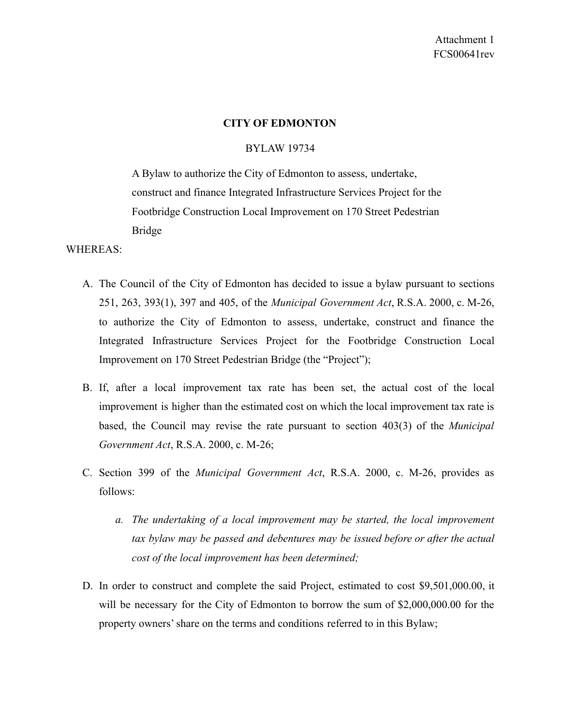## **CITY OF EDMONTON**

## BYLAW 19734

A Bylaw to authorize the City of Edmonton to assess, undertake, construct and finance Integrated Infrastructure Services Project for the Footbridge Construction Local Improvement on 170 Street Pedestrian Bridge

## WHEREAS:

- A. The Council of the City of Edmonton has decided to issue a bylaw pursuant to sections 251, 263, 393(1), 397 and 405, of the *Municipal Government Act*, R.S.A. 2000, c. M-26, to authorize the City of Edmonton to assess, undertake, construct and finance the Integrated Infrastructure Services Project for the Footbridge Construction Local Improvement on 170 Street Pedestrian Bridge (the "Project");
- B. If, after a local improvement tax rate has been set, the actual cost of the local improvement is higher than the estimated cost on which the local improvement tax rate is based, the Council may revise the rate pursuant to section 403(3) of the *Municipal Government Act*, R.S.A. 2000, c. M-26;
- C. Section 399 of the *Municipal Government Act*, R.S.A. 2000, c. M-26, provides as follows:
	- *a. The undertaking of a local improvement may be started, the local improvement tax bylaw may be passed and debentures may be issued before or after the actual cost of the local improvement has been determined;*
- D. In order to construct and complete the said Project, estimated to cost \$9,501,000.00, it will be necessary for the City of Edmonton to borrow the sum of \$2,000,000.00 for the property owners' share on the terms and conditions referred to in this Bylaw;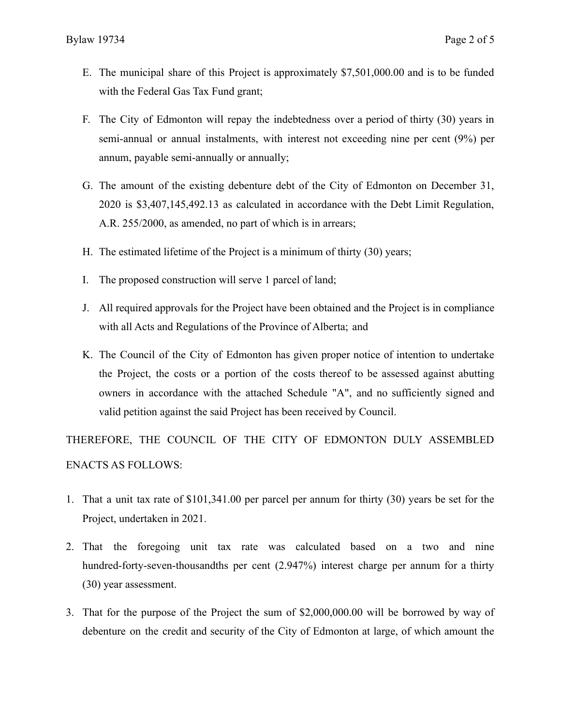- E. The municipal share of this Project is approximately \$7,501,000.00 and is to be funded with the Federal Gas Tax Fund grant;
- F. The City of Edmonton will repay the indebtedness over a period of thirty (30) years in semi-annual or annual instalments, with interest not exceeding nine per cent (9%) per annum, payable semi-annually or annually;
- G. The amount of the existing debenture debt of the City of Edmonton on December 31, 2020 is \$3,407,145,492.13 as calculated in accordance with the Debt Limit Regulation, A.R. 255/2000, as amended, no part of which is in arrears;
- H. The estimated lifetime of the Project is a minimum of thirty (30) years;
- I. The proposed construction will serve 1 parcel of land;
- J. All required approvals for the Project have been obtained and the Project is in compliance with all Acts and Regulations of the Province of Alberta; and
- K. The Council of the City of Edmonton has given proper notice of intention to undertake the Project, the costs or a portion of the costs thereof to be assessed against abutting owners in accordance with the attached Schedule "A", and no sufficiently signed and valid petition against the said Project has been received by Council.

THEREFORE, THE COUNCIL OF THE CITY OF EDMONTON DULY ASSEMBLED ENACTS AS FOLLOWS:

- 1. That a unit tax rate of \$101,341.00 per parcel per annum for thirty (30) years be set for the Project, undertaken in 2021.
- 2. That the foregoing unit tax rate was calculated based on a two and nine hundred-forty-seven-thousandths per cent (2.947%) interest charge per annum for a thirty (30) year assessment.
- 3. That for the purpose of the Project the sum of \$2,000,000.00 will be borrowed by way of debenture on the credit and security of the City of Edmonton at large, of which amount the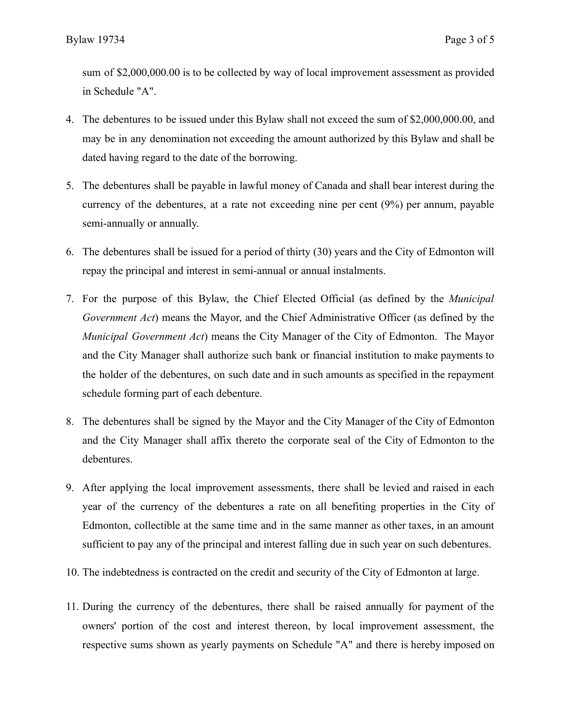sum of \$2,000,000.00 is to be collected by way of local improvement assessment as provided in Schedule "A".

- 4. The debentures to be issued under this Bylaw shall not exceed the sum of \$2,000,000.00, and may be in any denomination not exceeding the amount authorized by this Bylaw and shall be dated having regard to the date of the borrowing.
- 5. The debentures shall be payable in lawful money of Canada and shall bear interest during the currency of the debentures, at a rate not exceeding nine per cent (9%) per annum, payable semi-annually or annually.
- 6. The debentures shall be issued for a period of thirty (30) years and the City of Edmonton will repay the principal and interest in semi-annual or annual instalments.
- 7. For the purpose of this Bylaw, the Chief Elected Official (as defined by the *Municipal Government Act*) means the Mayor, and the Chief Administrative Officer (as defined by the *Municipal Government Act*) means the City Manager of the City of Edmonton. The Mayor and the City Manager shall authorize such bank or financial institution to make payments to the holder of the debentures, on such date and in such amounts as specified in the repayment schedule forming part of each debenture.
- 8. The debentures shall be signed by the Mayor and the City Manager of the City of Edmonton and the City Manager shall affix thereto the corporate seal of the City of Edmonton to the debentures.
- 9. After applying the local improvement assessments, there shall be levied and raised in each year of the currency of the debentures a rate on all benefiting properties in the City of Edmonton, collectible at the same time and in the same manner as other taxes, in an amount sufficient to pay any of the principal and interest falling due in such year on such debentures.
- 10. The indebtedness is contracted on the credit and security of the City of Edmonton at large.
- 11. During the currency of the debentures, there shall be raised annually for payment of the owners' portion of the cost and interest thereon, by local improvement assessment, the respective sums shown as yearly payments on Schedule "A" and there is hereby imposed on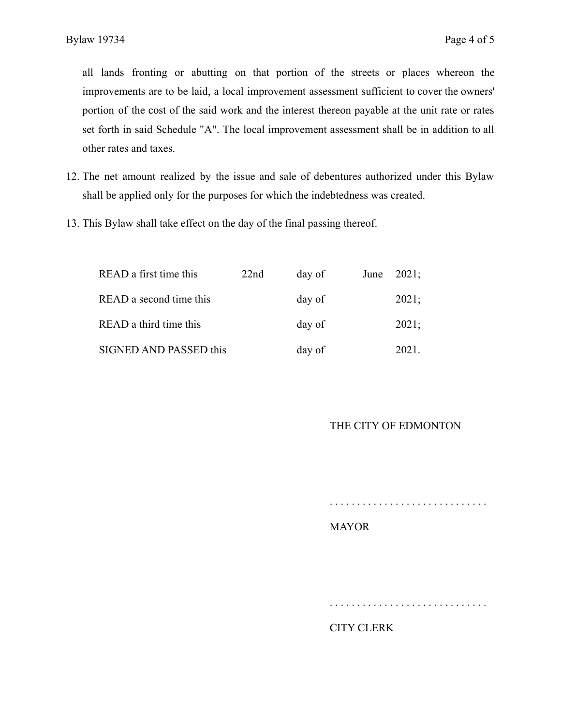all lands fronting or abutting on that portion of the streets or places whereon the improvements are to be laid, a local improvement assessment sufficient to cover the owners' portion of the cost of the said work and the interest thereon payable at the unit rate or rates set forth in said Schedule "A". The local improvement assessment shall be in addition to all other rates and taxes.

- 12. The net amount realized by the issue and sale of debentures authorized under this Bylaw shall be applied only for the purposes for which the indebtedness was created.
- 13. This Bylaw shall take effect on the day of the final passing thereof.

| READ a first time this        | 22nd | day of | June $2021$ ; |
|-------------------------------|------|--------|---------------|
| READ a second time this       |      | day of | 2021;         |
| READ a third time this        |      | day of | 2021;         |
| <b>SIGNED AND PASSED this</b> |      | day of | 2021.         |

# THE CITY OF EDMONTON

. . . . . . . . . . . . . . . . . . . . . . . . . . . . .

MAYOR

# . . . . . . . . . . . . . . . . . . . . . . . . . . . . .

CITY CLERK